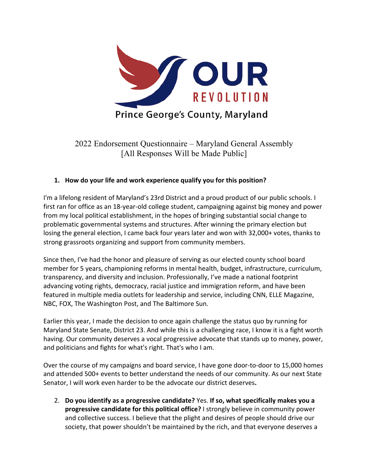

2022 Endorsement Questionnaire – Maryland General Assembly [All Responses Will be Made Public]

## **1. How do your life and work experience qualify you for this position?**

I'm a lifelong resident of Maryland's 23rd District and a proud product of our public schools. I first ran for office as an 18-year-old college student, campaigning against big money and power from my local political establishment, in the hopes of bringing substantial social change to problematic governmental systems and structures. After winning the primary election but losing the general election, I came back four years later and won with 32,000+ votes, thanks to strong grassroots organizing and support from community members.

Since then, I've had the honor and pleasure of serving as our elected county school board member for 5 years, championing reforms in mental health, budget, infrastructure, curriculum, transparency, and diversity and inclusion. Professionally, I've made a national footprint advancing voting rights, democracy, racial justice and immigration reform, and have been featured in multiple media outlets for leadership and service, including CNN, ELLE Magazine, NBC, FOX, The Washington Post, and The Baltimore Sun.

Earlier this year, I made the decision to once again challenge the status quo by running for Maryland State Senate, District 23. And while this is a challenging race, I know it is a fight worth having. Our community deserves a vocal progressive advocate that stands up to money, power, and politicians and fights for what's right. That's who I am.

Over the course of my campaigns and board service, I have gone door-to-door to 15,000 homes and attended 500+ events to better understand the needs of our community. As our next State Senator, I will work even harder to be the advocate our district deserves**.** 

2. **Do you identify as a progressive candidate?** Yes. **If so, what specifically makes you a progressive candidate for this political office?** I strongly believe in community power and collective success. I believe that the plight and desires of people should drive our society, that power shouldn't be maintained by the rich, and that everyone deserves a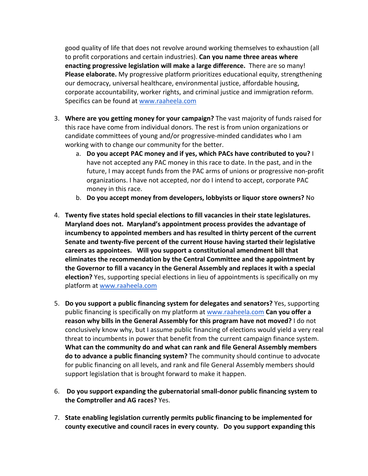good quality of life that does not revolve around working themselves to exhaustion (all to profit corporations and certain industries). **Can you name three areas where enacting progressive legislation will make a large difference.** There are so many! **Please elaborate.** My progressive platform prioritizes educational equity, strengthening our democracy, universal healthcare, environmental justice, affordable housing, corporate accountability, worker rights, and criminal justice and immigration reform. Specifics can be found at www.raaheela.com

- 3. **Where are you getting money for your campaign?** The vast majority of funds raised for this race have come from individual donors. The rest is from union organizations or candidate committees of young and/or progressive-minded candidates who I am working with to change our community for the better.
	- a. **Do you accept PAC money and if yes, which PACs have contributed to you?** I have not accepted any PAC money in this race to date. In the past, and in the future, I may accept funds from the PAC arms of unions or progressive non-profit organizations. I have not accepted, nor do I intend to accept, corporate PAC money in this race.
	- b. **Do you accept money from developers, lobbyists or liquor store owners?** No
- 4. **Twenty five states hold special elections to fill vacancies in their state legislatures. Maryland does not. Maryland's appointment process provides the advantage of incumbency to appointed members and has resulted in thirty percent of the current Senate and twenty-five percent of the current House having started their legislative careers as appointees. Will you support a constitutional amendment bill that eliminates the recommendation by the Central Committee and the appointment by the Governor to fill a vacancy in the General Assembly and replaces it with a special election?** Yes, supporting special elections in lieu of appointments is specifically on my platform at www.raaheela.com
- 5. **Do you support a public financing system for delegates and senators?** Yes, supporting public financing is specifically on my platform at www.raaheela.com **Can you offer a reason why bills in the General Assembly for this program have not moved?** I do not conclusively know why, but I assume public financing of elections would yield a very real threat to incumbents in power that benefit from the current campaign finance system. **What can the community do and what can rank and file General Assembly members do to advance a public financing system?** The community should continue to advocate for public financing on all levels, and rank and file General Assembly members should support legislation that is brought forward to make it happen.
- 6. **Do you support expanding the gubernatorial small-donor public financing system to the Comptroller and AG races?** Yes.
- 7. **State enabling legislation currently permits public financing to be implemented for county executive and council races in every county. Do you support expanding this**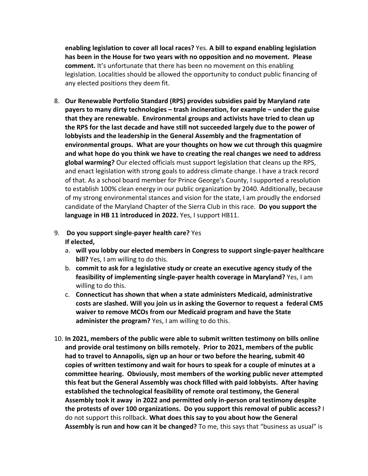**enabling legislation to cover all local races?** Yes. **A bill to expand enabling legislation has been in the House for two years with no opposition and no movement. Please comment.** It's unfortunate that there has been no movement on this enabling legislation. Localities should be allowed the opportunity to conduct public financing of any elected positions they deem fit.

8. **Our Renewable Portfolio Standard (RPS) provides subsidies paid by Maryland rate payers to many dirty technologies – trash incineration, for example – under the guise that they are renewable. Environmental groups and activists have tried to clean up the RPS for the last decade and have still not succeeded largely due to the power of lobbyists and the leadership in the General Assembly and the fragmentation of environmental groups. What are your thoughts on how we cut through this quagmire and what hope do you think we have to creating the real changes we need to address global warming?** Our elected officials must support legislation that cleans up the RPS, and enact legislation with strong goals to address climate change. I have a track record of that. As a school board member for Prince George's County, I supported a resolution to establish 100% clean energy in our public organization by 2040. Additionally, because of my strong environmental stances and vision for the state, I am proudly the endorsed candidate of the Maryland Chapter of the Sierra Club in this race. **Do you support the language in HB 11 introduced in 2022.** Yes, I support HB11.

## 9. **Do you support single-payer health care?** Yes **If elected,**

- a. **will you lobby our elected members in Congress to support single-payer healthcare bill?** Yes, I am willing to do this.
- b. **commit to ask for a legislative study or create an executive agency study of the feasibility of implementing single-payer health coverage in Maryland?** Yes, I am willing to do this.
- c. **Connecticut has shown that when a state administers Medicaid, administrative costs are slashed. Will you join us in asking the Governor to request a federal CMS waiver to remove MCOs from our Medicaid program and have the State administer the program?** Yes, I am willing to do this.
- 10. **In 2021, members of the public were able to submit written testimony on bills online and provide oral testimony on bills remotely. Prior to 2021, members of the public had to travel to Annapolis, sign up an hour or two before the hearing, submit 40 copies of written testimony and wait for hours to speak for a couple of minutes at a committee hearing. Obviously, most members of the working public never attempted this feat but the General Assembly was chock filled with paid lobbyists. After having established the technological feasibility of remote oral testimony, the General Assembly took it away in 2022 and permitted only in-person oral testimony despite the protests of over 100 organizations. Do you support this removal of public access?** I do not support this rollback. **What does this say to you about how the General Assembly is run and how can it be changed?** To me, this says that "business as usual" is